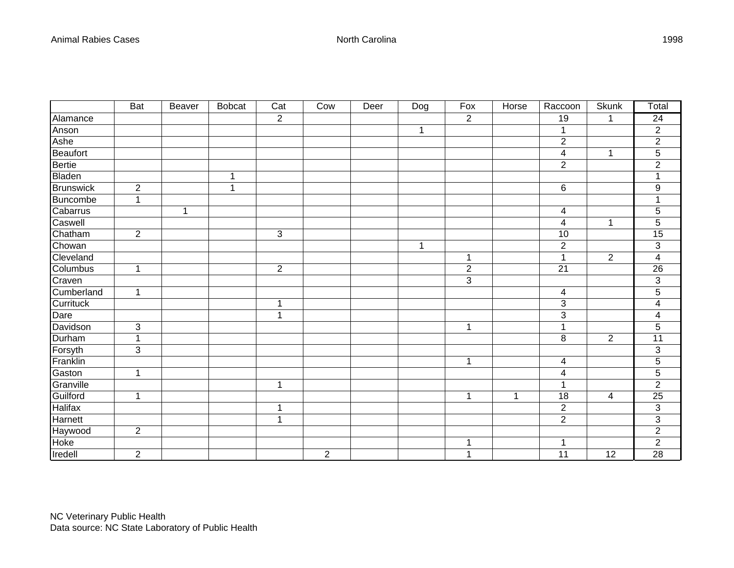|                  | <b>Bat</b>     | <b>Beaver</b> | <b>Bobcat</b> | Cat            | Cow            | Deer | Dog | Fox              | <b>Horse</b> | Raccoon        | <b>Skunk</b>   | Total                     |
|------------------|----------------|---------------|---------------|----------------|----------------|------|-----|------------------|--------------|----------------|----------------|---------------------------|
| Alamance         |                |               |               | $\overline{2}$ |                |      |     | $\overline{2}$   |              | 19             | $\mathbf{1}$   | $\overline{24}$           |
| Anson            |                |               |               |                |                |      | 1   |                  |              | 1              |                | $\overline{c}$            |
| Ashe             |                |               |               |                |                |      |     |                  |              | $\overline{2}$ |                | $\overline{2}$            |
| Beaufort         |                |               |               |                |                |      |     |                  |              | 4              | $\mathbf 1$    | $\overline{5}$            |
| <b>Bertie</b>    |                |               |               |                |                |      |     |                  |              | $\overline{2}$ |                | $\overline{2}$            |
| <b>Bladen</b>    |                |               | 1             |                |                |      |     |                  |              |                |                | 1                         |
| <b>Brunswick</b> | $\overline{c}$ |               | 1             |                |                |      |     |                  |              | 6              |                | 9                         |
| Buncombe         | $\mathbf 1$    |               |               |                |                |      |     |                  |              |                |                | 1                         |
| Cabarrus         |                | 1             |               |                |                |      |     |                  |              | 4              |                | $\overline{5}$            |
| Caswell          |                |               |               |                |                |      |     |                  |              | 4              | 1              | 5                         |
| Chatham          | $\overline{2}$ |               |               | $\mathfrak{S}$ |                |      |     |                  |              | 10             |                | 15                        |
| Chowan           |                |               |               |                |                |      | 1   |                  |              | $\overline{c}$ |                | $\ensuremath{\mathsf{3}}$ |
| Cleveland        |                |               |               |                |                |      |     | 1                |              | $\mathbf 1$    | $\overline{2}$ | 4                         |
| Columbus         | $\mathbf 1$    |               |               | $\sqrt{2}$     |                |      |     | $\boldsymbol{2}$ |              | 21             |                | 26                        |
| Craven           |                |               |               |                |                |      |     | $\overline{3}$   |              |                |                | 3                         |
| Cumberland       | $\mathbf 1$    |               |               |                |                |      |     |                  |              | 4              |                | $\overline{5}$            |
| Currituck        |                |               |               | 1              |                |      |     |                  |              | $\sqrt{3}$     |                | 4                         |
| Dare             |                |               |               | 1              |                |      |     |                  |              | 3              |                | 4                         |
| Davidson         | 3              |               |               |                |                |      |     | $\mathbf{1}$     |              | 1              |                | $\overline{5}$            |
| Durham           | 1              |               |               |                |                |      |     |                  |              | 8              | $\overline{2}$ | 11                        |
| Forsyth          | 3              |               |               |                |                |      |     |                  |              |                |                | $\ensuremath{\mathsf{3}}$ |
| Franklin         |                |               |               |                |                |      |     | $\mathbf 1$      |              | 4              |                | $\overline{5}$            |
| Gaston           | $\mathbf{1}$   |               |               |                |                |      |     |                  |              | 4              |                | $\overline{5}$            |
| Granville        |                |               |               | 1              |                |      |     |                  |              | 1              |                | $\overline{2}$            |
| Guilford         | 1              |               |               |                |                |      |     | $\mathbf 1$      | 1            | 18             | 4              | 25                        |
| <b>Halifax</b>   |                |               |               | 1              |                |      |     |                  |              | $\overline{c}$ |                | $\ensuremath{\mathsf{3}}$ |
| Harnett          |                |               |               | 1              |                |      |     |                  |              | $\overline{2}$ |                | $\overline{3}$            |
| Haywood          | $\overline{2}$ |               |               |                |                |      |     |                  |              |                |                | $\overline{2}$            |
| Hoke             |                |               |               |                |                |      |     | 1                |              | 1              |                | $\overline{c}$            |
| Iredell          | $\overline{2}$ |               |               |                | $\overline{2}$ |      |     | $\mathbf{1}$     |              | 11             | 12             | $\overline{28}$           |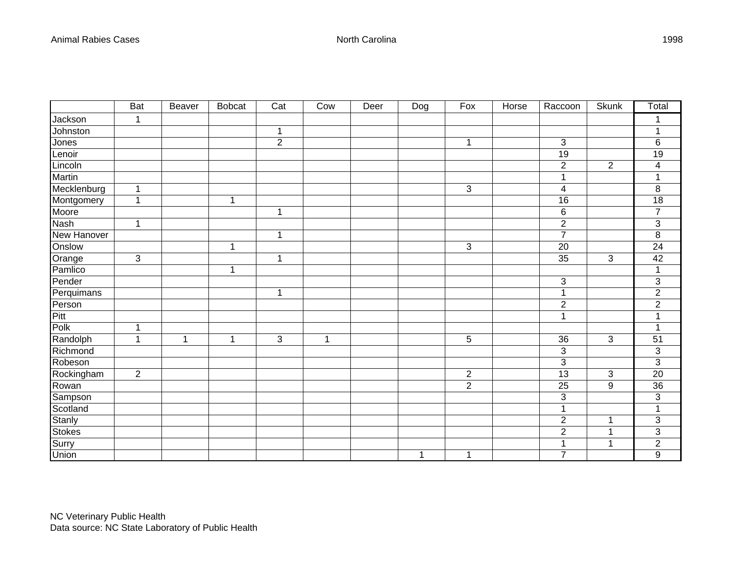|               | <b>Bat</b>  | <b>Beaver</b> | <b>Bobcat</b> | $\overline{Cat}$ | Cow          | Deer | Dog          | Fox            | Horse | Raccoon         | <b>Skunk</b>   | Total                     |
|---------------|-------------|---------------|---------------|------------------|--------------|------|--------------|----------------|-------|-----------------|----------------|---------------------------|
| Jackson       | 1           |               |               |                  |              |      |              |                |       |                 |                | 1                         |
| Johnston      |             |               |               | $\mathbf 1$      |              |      |              |                |       |                 |                | 1                         |
| Jones         |             |               |               | $\overline{2}$   |              |      |              | $\mathbf{1}$   |       | 3               |                | 6                         |
| Lenoir        |             |               |               |                  |              |      |              |                |       | $\overline{19}$ |                | $\overline{19}$           |
| Lincoln       |             |               |               |                  |              |      |              |                |       | $\overline{2}$  | 2              | 4                         |
| Martin        |             |               |               |                  |              |      |              |                |       | 1               |                | 1                         |
| Mecklenburg   | 1           |               |               |                  |              |      |              | 3              |       | 4               |                | $\, 8$                    |
| Montgomery    | $\mathbf 1$ |               | $\mathbf{1}$  |                  |              |      |              |                |       | 16              |                | 18                        |
| Moore         |             |               |               | $\mathbf{1}$     |              |      |              |                |       | $\,6$           |                | $\overline{7}$            |
| <b>Nash</b>   | 1           |               |               |                  |              |      |              |                |       | $\sqrt{2}$      |                | $\overline{3}$            |
| New Hanover   |             |               |               | $\mathbf{1}$     |              |      |              |                |       | $\overline{7}$  |                | 8                         |
| Onslow        |             |               | $\mathbf 1$   |                  |              |      |              | 3              |       | 20              |                | 24                        |
| Orange        | 3           |               |               | $\mathbf{1}$     |              |      |              |                |       | 35              | 3              | 42                        |
| Pamlico       |             |               | 1             |                  |              |      |              |                |       |                 |                | 1                         |
| Pender        |             |               |               |                  |              |      |              |                |       | 3               |                | 3                         |
| Perquimans    |             |               |               | 1                |              |      |              |                |       | 1               |                | $\overline{2}$            |
| Person        |             |               |               |                  |              |      |              |                |       | $\overline{2}$  |                | $\overline{2}$            |
| Pitt          |             |               |               |                  |              |      |              |                |       | 1               |                | $\overline{1}$            |
| Polk          | 1           |               |               |                  |              |      |              |                |       |                 |                | 1                         |
| Randolph      | 1           | 1             | $\mathbf 1$   | 3                | $\mathbf{1}$ |      |              | 5              |       | 36              | 3              | $\overline{51}$           |
| Richmond      |             |               |               |                  |              |      |              |                |       | 3               |                | 3                         |
| Robeson       |             |               |               |                  |              |      |              |                |       | $\overline{3}$  |                | $\overline{3}$            |
| Rockingham    | $\sqrt{2}$  |               |               |                  |              |      |              | $\sqrt{2}$     |       | 13              | $\mathfrak{S}$ | 20                        |
| Rowan         |             |               |               |                  |              |      |              | $\overline{2}$ |       | 25              | 9              | $\overline{36}$           |
| Sampson       |             |               |               |                  |              |      |              |                |       | 3               |                | $\overline{3}$            |
| Scotland      |             |               |               |                  |              |      |              |                |       | 1               |                | 1                         |
| Stanly        |             |               |               |                  |              |      |              |                |       | $\sqrt{2}$      | 1              | $\ensuremath{\mathsf{3}}$ |
| <b>Stokes</b> |             |               |               |                  |              |      |              |                |       | $\overline{2}$  | 1              | 3                         |
| Surry         |             |               |               |                  |              |      |              |                |       | 1               | 1              | $\overline{2}$            |
| Union         |             |               |               |                  |              |      | $\mathbf{1}$ | 1              |       | $\overline{7}$  |                | 9                         |